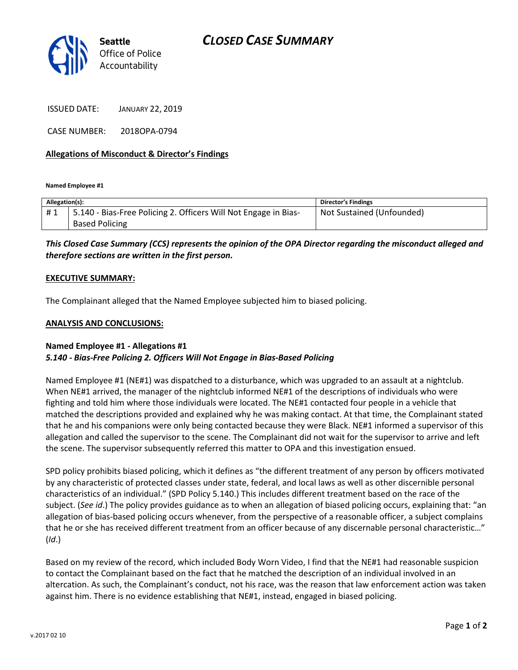# CLOSED CASE SUMMARY



ISSUED DATE: JANUARY 22, 2019

CASE NUMBER: 2018OPA-0794

### Allegations of Misconduct & Director's Findings

Named Employee #1

| Allegation(s): |                                                                 | <b>Director's Findings</b> |
|----------------|-----------------------------------------------------------------|----------------------------|
| #1             | 5.140 - Bias-Free Policing 2. Officers Will Not Engage in Bias- | Not Sustained (Unfounded)  |
|                | <b>Based Policing</b>                                           |                            |

# This Closed Case Summary (CCS) represents the opinion of the OPA Director regarding the misconduct alleged and therefore sections are written in the first person.

#### EXECUTIVE SUMMARY:

The Complainant alleged that the Named Employee subjected him to biased policing.

#### ANALYSIS AND CONCLUSIONS:

## Named Employee #1 - Allegations #1 5.140 - Bias-Free Policing 2. Officers Will Not Engage in Bias-Based Policing

Named Employee #1 (NE#1) was dispatched to a disturbance, which was upgraded to an assault at a nightclub. When NE#1 arrived, the manager of the nightclub informed NE#1 of the descriptions of individuals who were fighting and told him where those individuals were located. The NE#1 contacted four people in a vehicle that matched the descriptions provided and explained why he was making contact. At that time, the Complainant stated that he and his companions were only being contacted because they were Black. NE#1 informed a supervisor of this allegation and called the supervisor to the scene. The Complainant did not wait for the supervisor to arrive and left the scene. The supervisor subsequently referred this matter to OPA and this investigation ensued.

SPD policy prohibits biased policing, which it defines as "the different treatment of any person by officers motivated by any characteristic of protected classes under state, federal, and local laws as well as other discernible personal characteristics of an individual." (SPD Policy 5.140.) This includes different treatment based on the race of the subject. (See id.) The policy provides guidance as to when an allegation of biased policing occurs, explaining that: "an allegation of bias-based policing occurs whenever, from the perspective of a reasonable officer, a subject complains that he or she has received different treatment from an officer because of any discernable personal characteristic…" (Id.)

Based on my review of the record, which included Body Worn Video, I find that the NE#1 had reasonable suspicion to contact the Complainant based on the fact that he matched the description of an individual involved in an altercation. As such, the Complainant's conduct, not his race, was the reason that law enforcement action was taken against him. There is no evidence establishing that NE#1, instead, engaged in biased policing.